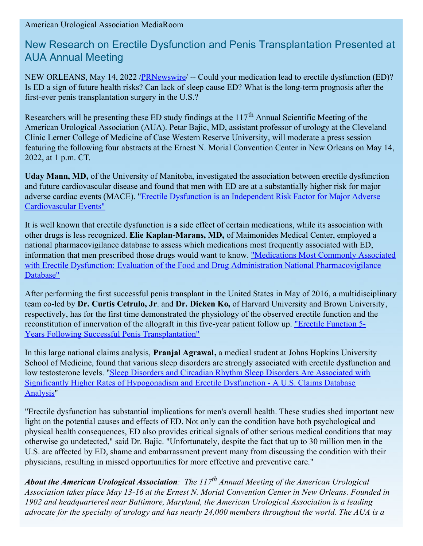## New Research on Erectile Dysfunction and Penis Transplantation Presented at AUA Annual Meeting

NEW ORLEANS, May 14, 2022 [/PRNewswire](http://www.prnewswire.com/)/ -- Could your medication lead to erectile dysfunction (ED)? Is ED a sign of future health risks? Can lack of sleep cause ED? What is the long-term prognosis after the first-ever penis transplantation surgery in the U.S.?

Researchers will be presenting these ED study findings at the 117<sup>th</sup> Annual Scientific Meeting of the American Urological Association (AUA). Petar Bajic, MD, assistant professor of urology at the Cleveland Clinic Lerner College of Medicine of Case Western Reserve University, will moderate a press session featuring the following four abstracts at the Ernest N. Morial Convention Center in New Orleans on May 14, 2022, at 1 p.m. CT.

**Uday Mann, MD,** of the University of Manitoba, investigated the association between erectile dysfunction and future cardiovascular disease and found that men with ED are at a substantially higher risk for major adverse cardiac events (MACE). "Erectile Dysfunction is an Independent Risk Factor for Major Adverse [Cardiovascular](https://c212.net/c/link/?t=0&l=en&o=3536164-1&h=2726084362&u=https%3A%2F%2Fwww.auajournals.org%2Fdoi%2Fabs%2F10.1097%2FJU.0000000000002620.05&a=Erectile+Dysfunction+is+an+Independent+Risk+Factor+for+Major+Adverse+Cardiovascular+Events%22) Events"

It is well known that erectile dysfunction is a side effect of certain medications, while its association with other drugs is less recognized. **Elie Kaplan-Marans, MD,** of Maimonides Medical Center, employed a national pharmacovigilance database to assess which medications most frequently associated with ED, information that men prescribed those drugs would want to know. "Medications Most Commonly Associated with Erectile Dysfunction: Evaluation of the Food and Drug Administration National [Pharmacovigilance](https://c212.net/c/link/?t=0&l=en&o=3536164-1&h=1848686952&u=https%3A%2F%2Fwww.auajournals.org%2Fdoi%2Fabs%2F10.1097%2FJU.0000000000002620.02&a=%22Medications+Most+Commonly+Associated+with+Erectile+Dysfunction%3A+Evaluation+of+the+Food+and+Drug+Administration+National+Pharmacovigilance+Database%22) Database"

After performing the first successful penis transplant in the United States in May of 2016, a multidisciplinary team co-led by **Dr. Curtis Cetrulo, Jr**. and **Dr. Dicken Ko,** of Harvard University and Brown University, respectively, has for the first time demonstrated the physiology of the observed erectile function and the reconstitution of innervation of the allograft in this five-year patient follow up. "Erectile Function 5- Years Following Successful Penis [Transplantation"](https://c212.net/c/link/?t=0&l=en&o=3536164-1&h=885694294&u=https%3A%2F%2Fwww.auajournals.org%2Fdoi%2Fabs%2F10.1097%2FJU.0000000000002590.03&a=%22Erectile%C2%A0Function%C2%A05-+Years%C2%A0Following%C2%A0Successful%C2%A0Penis%C2%A0Transplantation%22)

In this large national claims analysis, **Pranjal Agrawal,** a medical student at Johns Hopkins University School of Medicine, found that various sleep disorders are strongly associated with erectile dysfunction and low testosterone levels. "Sleep Disorders and Circadian Rhythm Sleep Disorders Are Associated with Significantly Higher Rates of [Hypogonadism](https://c212.net/c/link/?t=0&l=en&o=3536164-1&h=1520246817&u=https%3A%2F%2Fwww.auajournals.org%2Fdoi%2Fabs%2F10.1097%2FJU.0000000000002620.10&a=Sleep+Disorders+and+Circadian+Rhythm+Sleep+Disorders+Are+Associated+with+Significantly+Higher+Rates+of+Hypogonadism+and+Erectile+Dysfunction+-+A+U.S.+Claims+Database+Analysis) and Erectile Dysfunction - A U.S. Claims Database Analysis"

"Erectile dysfunction has substantial implications for men's overall health. These studies shed important new light on the potential causes and effects of ED. Not only can the condition have both psychological and physical health consequences, ED also provides critical signals of other serious medical conditions that may otherwise go undetected," said Dr. Bajic. "Unfortunately, despite the fact that up to 30 million men in the U.S. are affected by ED, shame and embarrassment prevent many from discussing the condition with their physicians, resulting in missed opportunities for more effective and preventive care."

*About the American Urological Association: The 117 th Annual Meeting of the American Urological Association takes place May 13-16 at the Ernest N. Morial Convention Center in New Orleans. Founded in 1902 and headquartered near Baltimore, Maryland, the American Urological Association is a leading* advocate for the specialty of urology and has nearly 24,000 members throughout the world. The AUA is a